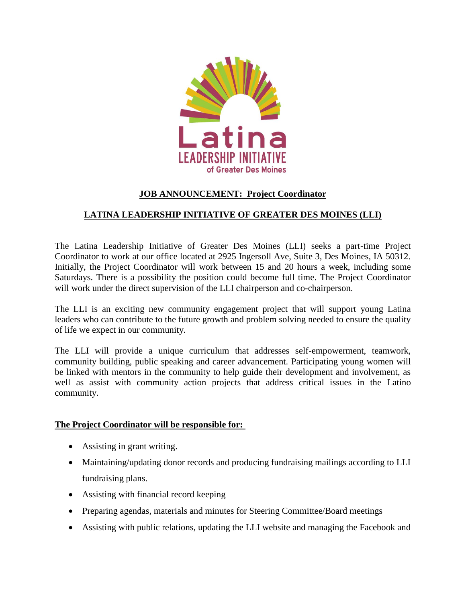

# **JOB ANNOUNCEMENT: Project Coordinator**

# **LATINA LEADERSHIP INITIATIVE OF GREATER DES MOINES (LLI)**

The Latina Leadership Initiative of Greater Des Moines (LLI) seeks a part-time Project Coordinator to work at our office located at 2925 Ingersoll Ave, Suite 3, Des Moines, IA 50312. Initially, the Project Coordinator will work between 15 and 20 hours a week, including some Saturdays. There is a possibility the position could become full time. The Project Coordinator will work under the direct supervision of the LLI chairperson and co-chairperson.

The LLI is an exciting new community engagement project that will support young Latina leaders who can contribute to the future growth and problem solving needed to ensure the quality of life we expect in our community.

The LLI will provide a unique curriculum that addresses self-empowerment, teamwork, community building, public speaking and career advancement. Participating young women will be linked with mentors in the community to help guide their development and involvement, as well as assist with community action projects that address critical issues in the Latino community.

### **The Project Coordinator will be responsible for:**

- Assisting in grant writing.
- Maintaining/updating donor records and producing fundraising mailings according to LLI fundraising plans.
- Assisting with financial record keeping
- Preparing agendas, materials and minutes for Steering Committee/Board meetings
- Assisting with public relations, updating the LLI website and managing the Facebook and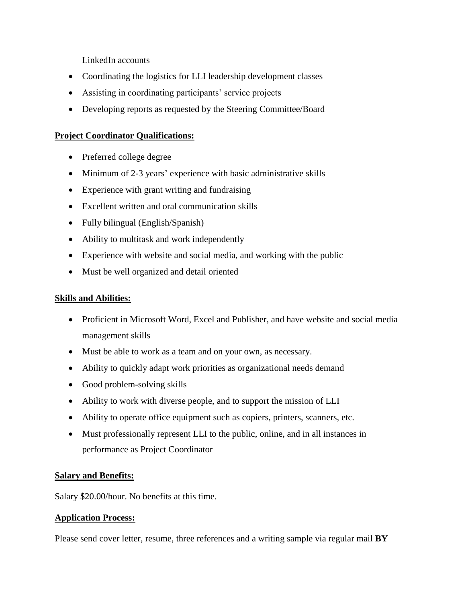LinkedIn accounts

- Coordinating the logistics for LLI leadership development classes
- Assisting in coordinating participants' service projects
- Developing reports as requested by the Steering Committee/Board

### **Project Coordinator Qualifications:**

- Preferred college degree
- Minimum of 2-3 years' experience with basic administrative skills
- Experience with grant writing and fundraising
- Excellent written and oral communication skills
- Fully bilingual (English/Spanish)
- Ability to multitask and work independently
- Experience with website and social media, and working with the public
- Must be well organized and detail oriented

### **Skills and Abilities:**

- Proficient in Microsoft Word, Excel and Publisher, and have website and social media management skills
- Must be able to work as a team and on your own, as necessary.
- Ability to quickly adapt work priorities as organizational needs demand
- Good problem-solving skills
- Ability to work with diverse people, and to support the mission of LLI
- Ability to operate office equipment such as copiers, printers, scanners, etc.
- Must professionally represent LLI to the public, online, and in all instances in performance as Project Coordinator

# **Salary and Benefits:**

Salary \$20.00/hour. No benefits at this time.

### **Application Process:**

Please send cover letter, resume, three references and a writing sample via regular mail **BY**